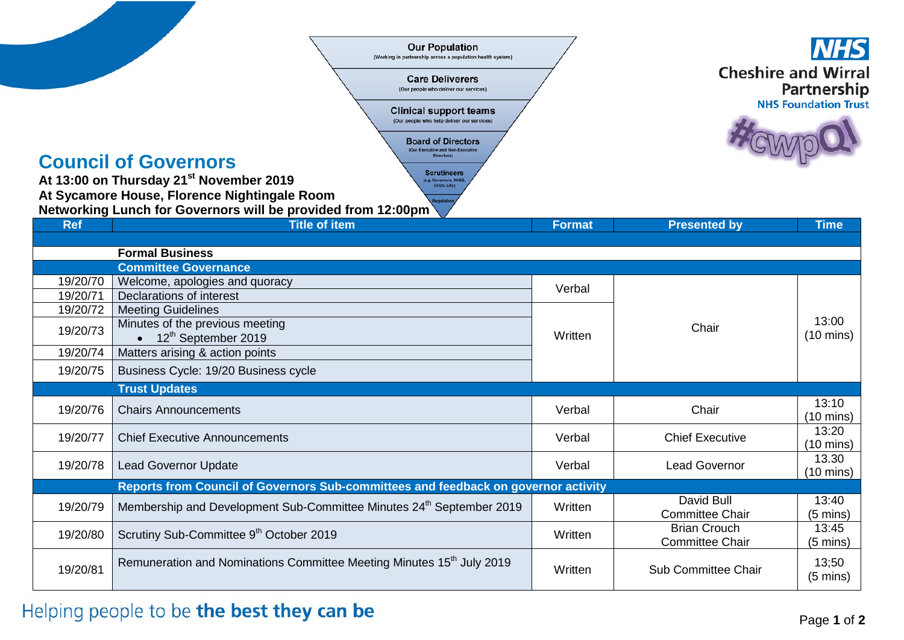|                      | <b>Our Population</b><br>(Working in partnership across a population health system)<br><b>Care Deliverers</b><br>(Our people who deliver our services)<br><b>Clinical support teams</b><br>(Our people who help deliver our services)<br><b>Board of Directors</b><br>(Our Executive and Non-Executive<br><b>Directors</b><br><b>Council of Governors</b><br><b>Scrutineers</b><br>At 13:00 on Thursday 21 <sup>st</sup> November 2019<br>(e.g. Governors, NHSE<br>CCGs, LAs)<br>At Sycamore House, Florence Nightingale Room<br>Networking Lunch for Governors will be provided from 12:00pm | <b>Cheshire and Wirral</b><br>Partnership<br><b>NHS Foundation Trust</b> |                                               |                              |
|----------------------|-----------------------------------------------------------------------------------------------------------------------------------------------------------------------------------------------------------------------------------------------------------------------------------------------------------------------------------------------------------------------------------------------------------------------------------------------------------------------------------------------------------------------------------------------------------------------------------------------|--------------------------------------------------------------------------|-----------------------------------------------|------------------------------|
| <b>Ref</b>           | <b>Title of item</b>                                                                                                                                                                                                                                                                                                                                                                                                                                                                                                                                                                          | <b>Format</b>                                                            | <b>Presented by</b>                           | <b>Time</b>                  |
|                      | <b>Formal Business</b><br><b>Committee Governance</b>                                                                                                                                                                                                                                                                                                                                                                                                                                                                                                                                         |                                                                          |                                               |                              |
| 19/20/70<br>19/20/71 | Welcome, apologies and quoracy<br>Declarations of interest                                                                                                                                                                                                                                                                                                                                                                                                                                                                                                                                    | Verbal                                                                   |                                               |                              |
| 19/20/72<br>19/20/73 | <b>Meeting Guidelines</b><br>Minutes of the previous meeting<br>$\bullet$ 12 <sup>th</sup> September 2019                                                                                                                                                                                                                                                                                                                                                                                                                                                                                     | Written                                                                  | Chair                                         | 13:00<br>$(10 \text{ mins})$ |
| 19/20/74             | Matters arising & action points                                                                                                                                                                                                                                                                                                                                                                                                                                                                                                                                                               |                                                                          |                                               |                              |
| 19/20/75             | Business Cycle: 19/20 Business cycle                                                                                                                                                                                                                                                                                                                                                                                                                                                                                                                                                          |                                                                          |                                               |                              |
|                      | <b>Trust Updates</b>                                                                                                                                                                                                                                                                                                                                                                                                                                                                                                                                                                          |                                                                          |                                               |                              |
| 19/20/76             | <b>Chairs Announcements</b>                                                                                                                                                                                                                                                                                                                                                                                                                                                                                                                                                                   | Verbal                                                                   | Chair                                         | 13:10<br>$(10 \text{ mins})$ |
| 19/20/77             | <b>Chief Executive Announcements</b>                                                                                                                                                                                                                                                                                                                                                                                                                                                                                                                                                          | Verbal                                                                   | <b>Chief Executive</b>                        | 13:20<br>$(10 \text{ mins})$ |
| 19/20/78             | <b>Lead Governor Update</b>                                                                                                                                                                                                                                                                                                                                                                                                                                                                                                                                                                   | Verbal                                                                   | <b>Lead Governor</b>                          | 13.30<br>$(10 \text{ mins})$ |
|                      | Reports from Council of Governors Sub-committees and feedback on governor activity                                                                                                                                                                                                                                                                                                                                                                                                                                                                                                            |                                                                          |                                               |                              |
| 19/20/79             | Membership and Development Sub-Committee Minutes 24 <sup>th</sup> September 2019                                                                                                                                                                                                                                                                                                                                                                                                                                                                                                              | Written                                                                  | David Bull<br><b>Committee Chair</b>          | 13:40<br>$(5 \text{ mins})$  |
| 19/20/80             | Scrutiny Sub-Committee 9th October 2019                                                                                                                                                                                                                                                                                                                                                                                                                                                                                                                                                       | Written                                                                  | <b>Brian Crouch</b><br><b>Committee Chair</b> | 13:45<br>$(5 \text{ mins})$  |
| 19/20/81             | Remuneration and Nominations Committee Meeting Minutes 15 <sup>th</sup> July 2019                                                                                                                                                                                                                                                                                                                                                                                                                                                                                                             | Written                                                                  | Sub Committee Chair                           | 13;50<br>$(5 \text{ mins})$  |

## Helping people to be the best they can be